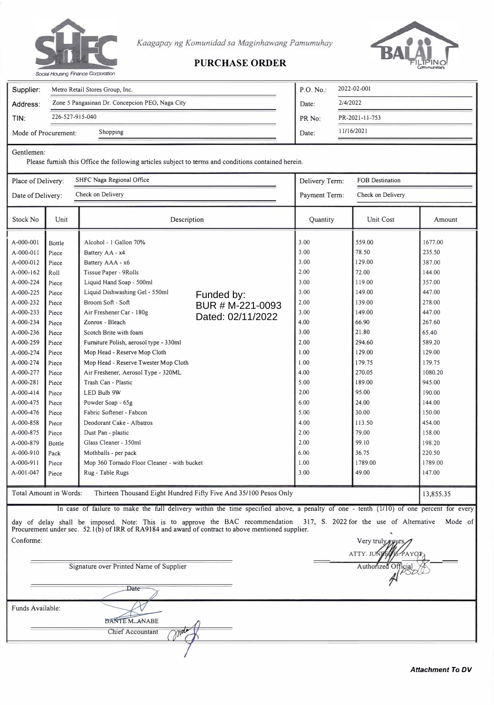

*Kaagapay ng Komunidad sa Maginhawang Pamumuhay* 



## **PURCHASE ORDER**

| Supplier:            | Metro Retail Stores Group, Inc.                 | P.O. No.           | 2022-02-001    |  |  |
|----------------------|-------------------------------------------------|--------------------|----------------|--|--|
| Address:             | Zone 5 Pangasinan Dr. Concepcion PEO, Naga City | Date:              | 2/4/2022       |  |  |
| TIN:                 | 226-527-915-040                                 | PR <sub>No</sub> : | PR-2021-11-753 |  |  |
| Mode of Procurement: | Shopping                                        | Date:              | 11/16/2021     |  |  |
|                      |                                                 |                    |                |  |  |

Gentlemen:

Conforme:

Please furnish this Office the following articles subject to terms and conditions contained berein.

| Place of Delivery:                                                                                                                                                                                                                                                                                                         |                                                                                                                                                                                                                      | SHFC Naga Regional Office                                                                                                                                                                                                                                                                                                                                                                                                                                                                                                                                                                                                                                                 | Delivery Term:                                      | <b>FOB</b> Destination                                                                                                                                                                       |                                                                                                                                                                                                                                    |                                                                                                                                                                                                                                                |  |
|----------------------------------------------------------------------------------------------------------------------------------------------------------------------------------------------------------------------------------------------------------------------------------------------------------------------------|----------------------------------------------------------------------------------------------------------------------------------------------------------------------------------------------------------------------|---------------------------------------------------------------------------------------------------------------------------------------------------------------------------------------------------------------------------------------------------------------------------------------------------------------------------------------------------------------------------------------------------------------------------------------------------------------------------------------------------------------------------------------------------------------------------------------------------------------------------------------------------------------------------|-----------------------------------------------------|----------------------------------------------------------------------------------------------------------------------------------------------------------------------------------------------|------------------------------------------------------------------------------------------------------------------------------------------------------------------------------------------------------------------------------------|------------------------------------------------------------------------------------------------------------------------------------------------------------------------------------------------------------------------------------------------|--|
| Date of Delivery:                                                                                                                                                                                                                                                                                                          |                                                                                                                                                                                                                      | Check on Delivery                                                                                                                                                                                                                                                                                                                                                                                                                                                                                                                                                                                                                                                         |                                                     | Payment Term:                                                                                                                                                                                | Check on Delivery                                                                                                                                                                                                                  |                                                                                                                                                                                                                                                |  |
| Stock No                                                                                                                                                                                                                                                                                                                   | Unit                                                                                                                                                                                                                 | Description                                                                                                                                                                                                                                                                                                                                                                                                                                                                                                                                                                                                                                                               |                                                     | Quantity                                                                                                                                                                                     | <b>Unit Cost</b>                                                                                                                                                                                                                   | Amount                                                                                                                                                                                                                                         |  |
| A-000-001<br>A-000-011<br>A-000-012<br>A-000-162<br>A-000-224<br>A-000-225<br>A-000-232<br>A-000-233<br>A-000-234<br>A-000-236<br>A-000-259<br>A-000-274<br>A-000-274<br>A-000-277<br>A-000-281<br>$A - 000 - 414$<br>A-000-475<br>A-000-476<br>A-000-858<br>A-000-875<br>A-000-879<br>A-000-910<br>A-000-911<br>A-001-047 | Bottle<br>Piece<br>Piece<br>Roll<br>Piece<br>Piece<br>Piece<br>Piece<br>Piece<br>Piece<br>Piece<br>Piece<br>Piece<br>Piece<br>Piece<br>Piece<br>Piece<br>Piece<br>Piece<br>Piece<br>Bottle<br>Pack<br>Piece<br>Piece | Alcohol - 1 Gallon 70%<br>Battery AA - x4<br>Battery AAA - x6<br>Tissue Paper - 9Rolls<br>Liquid Hand Soap - 500ml<br>Liquid Dishwashing Gel - 550ml<br>Broom Soft - Soft<br>Air Freshener Car - 180g<br>Zonrox - Bleach<br>Scotch Brite with foam<br>Furniture Polish, aerosol type - 330ml<br>Mop Head - Reserve Mop Cloth<br>Mop Head - Reserve Twester Mop Cloth<br>Air Freshener, Aerosol Type - 320ML<br>Trash Can - Plastic<br>LED Bulb 9W<br>Powder Soap - 65g<br>Fabric Softener - Fabcon<br>Deodorant Cake - Albatros<br>Dust Pan - plastic<br>Glass Cleaner - 350ml<br>Mothballs - per pack<br>Mop 360 Tornado Floor Cleaner - with bucket<br>Rug - Table Rugs | Funded by:<br>BUR # M-221-0093<br>Dated: 02/11/2022 | 3.00<br>3.00<br>3.00<br>2.00<br>3.00<br>3.00<br>2.00<br>3.00<br>4.00<br>3.00<br>2.00<br>1.00<br>1.00<br>4.00<br>5.00<br>2.00<br>6.00<br>5.00<br>4.00<br>2.00<br>2.00<br>6.00<br>1.00<br>3.00 | 559.00<br>78.50<br>129.00<br>72.00<br>119.00<br>149.00<br>139.00<br>149.00<br>66.90<br>21.80<br>294.60<br>129.00<br>179.75<br>270.05<br>189.00<br>95.00<br>24.00<br>30.00<br>113.50<br>79.00<br>99.10<br>36.75<br>1789.00<br>49.00 | 1677.00<br>235.50<br>387.00<br>144.00<br>357.00<br>447.00<br>278.00<br>447.00<br>267.60<br>65.40<br>589.20<br>129.00<br>179.75<br>1080.20<br>945.00<br>190.00<br>144.00<br>150.00<br>454.00<br>158.00<br>198.20<br>220.50<br>1789.00<br>147.00 |  |
| Thirteen Thousand Eight Hundred Fifty Five And 35/100 Pesos Only<br>Total Amount in Words:                                                                                                                                                                                                                                 |                                                                                                                                                                                                                      |                                                                                                                                                                                                                                                                                                                                                                                                                                                                                                                                                                                                                                                                           |                                                     |                                                                                                                                                                                              |                                                                                                                                                                                                                                    |                                                                                                                                                                                                                                                |  |

In case of failure to make the full delivery within the time specified above, a penalty of one - tenth (1/10) of one percent for every 7, s. 2022 for the use of Alternative Mode of Pr day .<br>ocur of ement delay under shall sec. be 52.1 im **(b)**  posed. ofIRR Not of e: .<br>RA9 This ...<br>184 is ...<br>and to award appro of v c e ontr the act to BAC above recom mentio men ned dation supplier. 31

Signature over Printed Name of Supplier **Date** Funds Available: DANTE M. ANABE Chief Accountant

Very truly ATTY. JUNI Authorized  $\mathbb{R}$  PSDS